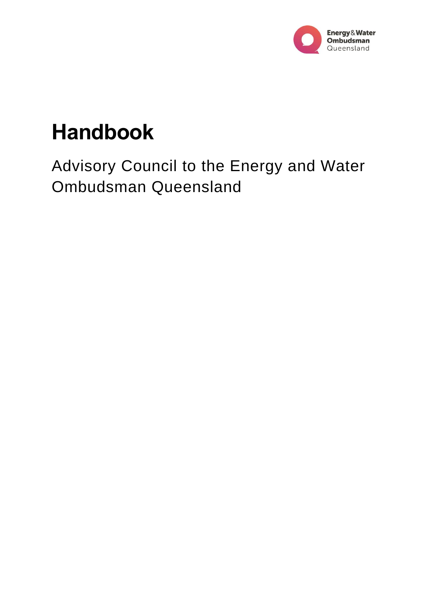

# **Handbook**

Advisory Council to the Energy and Water Ombudsman Queensland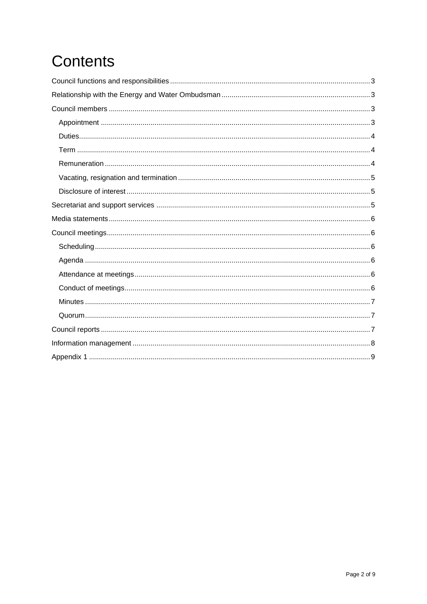# **Contents**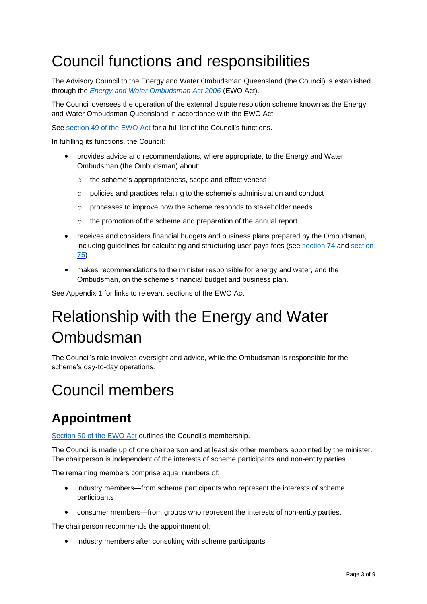## <span id="page-2-0"></span>Council functions and responsibilities

The Advisory Council to the Energy and Water Ombudsman Queensland (the Council) is established through the *[Energy and Water Ombudsman Act 2006](https://www.legislation.qld.gov.au/view/html/inforce/current/act-2006-061)* (EWO Act).

The Council oversees the operation of the external dispute resolution scheme known as the Energy and Water Ombudsman Queensland in accordance with the EWO Act.

See section 49 [of the EWO Act](https://www.legislation.qld.gov.au/view/html/inforce/current/act-2006-061#sec.49) for a full list of the Council's functions.

In fulfilling its functions, the Council:

- provides advice and recommendations, where appropriate, to the Energy and Water Ombudsman (the Ombudsman) about:
	- o the scheme's appropriateness, scope and effectiveness
	- o policies and practices relating to the scheme's administration and conduct
	- o processes to improve how the scheme responds to stakeholder needs
	- o the promotion of the scheme and preparation of the annual report
- receives and considers financial budgets and business plans prepared by the Ombudsman, including guidelines for calculating and structuring user-pays fees (see [section](https://www.legislation.qld.gov.au/view/html/inforce/current/act-2006-061#sec.74) 74 and section [75\)](https://www.legislation.qld.gov.au/view/html/inforce/current/act-2006-061#sec.75)
- makes recommendations to the minister responsible for energy and water, and the Ombudsman, on the scheme's financial budget and business plan.

See Appendix 1 for links to relevant sections of the EWO Act.

## <span id="page-2-1"></span>Relationship with the Energy and Water Ombudsman

The Council's role involves oversight and advice, while the Ombudsman is responsible for the scheme's day-to-day operations.

### <span id="page-2-2"></span>Council members

### <span id="page-2-3"></span>**Appointment**

[Section 50 of the EWO Act](https://www.legislation.qld.gov.au/view/html/inforce/current/act-2006-061#sec.50) outlines the Council's membership.

The Council is made up of one chairperson and at least six other members appointed by the minister. The chairperson is independent of the interests of scheme participants and non-entity parties.

The remaining members comprise equal numbers of:

- industry members—from scheme participants who represent the interests of scheme participants
- consumer members—from groups who represent the interests of non-entity parties.

The chairperson recommends the appointment of:

• industry members after consulting with scheme participants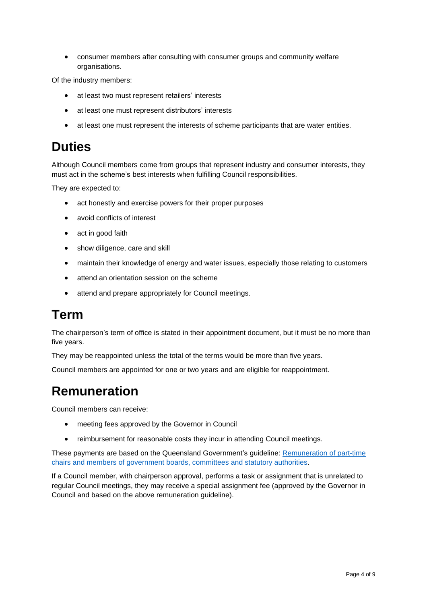• consumer members after consulting with consumer groups and community welfare organisations.

Of the industry members:

- at least two must represent retailers' interests
- at least one must represent distributors' interests
- at least one must represent the interests of scheme participants that are water entities.

#### <span id="page-3-0"></span>**Duties**

Although Council members come from groups that represent industry and consumer interests, they must act in the scheme's best interests when fulfilling Council responsibilities.

They are expected to:

- act honestly and exercise powers for their proper purposes
- avoid conflicts of interest
- act in good faith
- show diligence, care and skill
- maintain their knowledge of energy and water issues, especially those relating to customers
- attend an orientation session on the scheme
- attend and prepare appropriately for Council meetings.

#### <span id="page-3-1"></span>**Term**

The chairperson's term of office is stated in their appointment document, but it must be no more than five years.

They may be reappointed unless the total of the terms would be more than five years.

Council members are appointed for one or two years and are eligible for reappointment.

#### <span id="page-3-2"></span>**Remuneration**

Council members can receive:

- meeting fees approved by the Governor in Council
- reimbursement for reasonable costs they incur in attending Council meetings.

These payments are based on the Queensland Government's guideline: [Remuneration of part-time](https://www.qld.gov.au/__data/assets/pdf_file/0025/39481/remuneration-procedures.pdf)  [chairs and members of government boards, committees and statutory authorities.](https://www.qld.gov.au/__data/assets/pdf_file/0025/39481/remuneration-procedures.pdf)

If a Council member, with chairperson approval, performs a task or assignment that is unrelated to regular Council meetings, they may receive a special assignment fee (approved by the Governor in Council and based on the above remuneration guideline).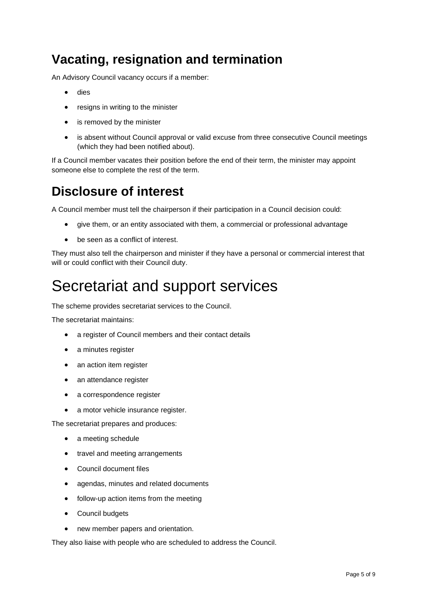### <span id="page-4-0"></span>**Vacating, resignation and termination**

An Advisory Council vacancy occurs if a member:

- dies
- resigns in writing to the minister
- is removed by the minister
- is absent without Council approval or valid excuse from three consecutive Council meetings (which they had been notified about).

If a Council member vacates their position before the end of their term, the minister may appoint someone else to complete the rest of the term.

#### <span id="page-4-1"></span>**Disclosure of interest**

A Council member must tell the chairperson if their participation in a Council decision could:

- give them, or an entity associated with them, a commercial or professional advantage
- be seen as a conflict of interest.

They must also tell the chairperson and minister if they have a personal or commercial interest that will or could conflict with their Council duty.

### <span id="page-4-2"></span>Secretariat and support services

The scheme provides secretariat services to the Council.

The secretariat maintains:

- a register of Council members and their contact details
- a minutes register
- an action item register
- an attendance register
- a correspondence register
- a motor vehicle insurance register.

The secretariat prepares and produces:

- a meeting schedule
- travel and meeting arrangements
- Council document files
- agendas, minutes and related documents
- follow-up action items from the meeting
- Council budgets
- new member papers and orientation.

They also liaise with people who are scheduled to address the Council.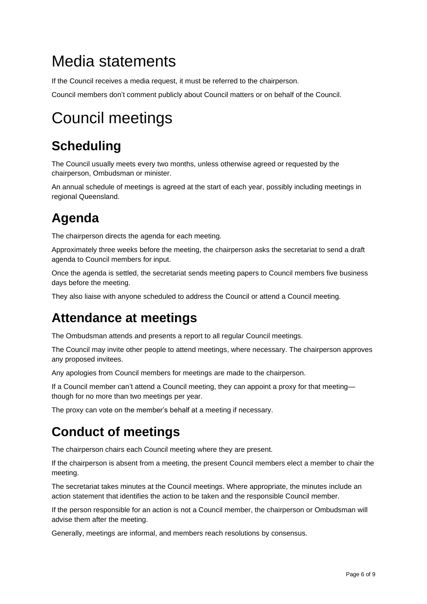## <span id="page-5-0"></span>Media statements

If the Council receives a media request, it must be referred to the chairperson.

Council members don't comment publicly about Council matters or on behalf of the Council.

## <span id="page-5-1"></span>Council meetings

### <span id="page-5-2"></span>**Scheduling**

The Council usually meets every two months, unless otherwise agreed or requested by the chairperson, Ombudsman or minister.

An annual schedule of meetings is agreed at the start of each year, possibly including meetings in regional Queensland.

### <span id="page-5-3"></span>**Agenda**

The chairperson directs the agenda for each meeting.

Approximately three weeks before the meeting, the chairperson asks the secretariat to send a draft agenda to Council members for input.

Once the agenda is settled, the secretariat sends meeting papers to Council members five business days before the meeting.

They also liaise with anyone scheduled to address the Council or attend a Council meeting.

### <span id="page-5-4"></span>**Attendance at meetings**

The Ombudsman attends and presents a report to all regular Council meetings.

The Council may invite other people to attend meetings, where necessary. The chairperson approves any proposed invitees.

Any apologies from Council members for meetings are made to the chairperson.

If a Council member can't attend a Council meeting, they can appoint a proxy for that meeting though for no more than two meetings per year.

The proxy can vote on the member's behalf at a meeting if necessary.

### <span id="page-5-5"></span>**Conduct of meetings**

The chairperson chairs each Council meeting where they are present.

If the chairperson is absent from a meeting, the present Council members elect a member to chair the meeting.

The secretariat takes minutes at the Council meetings. Where appropriate, the minutes include an action statement that identifies the action to be taken and the responsible Council member.

If the person responsible for an action is not a Council member, the chairperson or Ombudsman will advise them after the meeting.

Generally, meetings are informal, and members reach resolutions by consensus.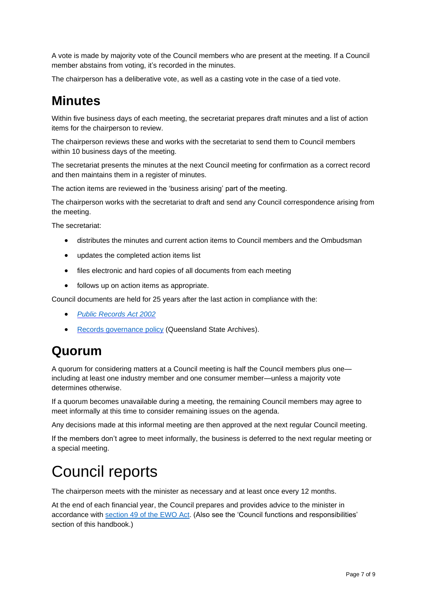A vote is made by majority vote of the Council members who are present at the meeting. If a Council member abstains from voting, it's recorded in the minutes.

The chairperson has a deliberative vote, as well as a casting vote in the case of a tied vote.

#### <span id="page-6-0"></span>**Minutes**

Within five business days of each meeting, the secretariat prepares draft minutes and a list of action items for the chairperson to review.

The chairperson reviews these and works with the secretariat to send them to Council members within 10 business days of the meeting.

The secretariat presents the minutes at the next Council meeting for confirmation as a correct record and then maintains them in a register of minutes.

The action items are reviewed in the 'business arising' part of the meeting.

The chairperson works with the secretariat to draft and send any Council correspondence arising from the meeting.

The secretariat:

- distributes the minutes and current action items to Council members and the Ombudsman
- updates the completed action items list
- files electronic and hard copies of all documents from each meeting
- follows up on action items as appropriate.

Council documents are held for 25 years after the last action in compliance with the:

- *[Public Records Act 2002](https://www.legislation.qld.gov.au/view/html/inforce/current/act-2002-011)*
- [Records governance policy](https://www.qgcio.qld.gov.au/documents/records-governance-policy) (Queensland State Archives).

#### <span id="page-6-1"></span>**Quorum**

A quorum for considering matters at a Council meeting is half the Council members plus one including at least one industry member and one consumer member—unless a majority vote determines otherwise.

If a quorum becomes unavailable during a meeting, the remaining Council members may agree to meet informally at this time to consider remaining issues on the agenda.

Any decisions made at this informal meeting are then approved at the next regular Council meeting.

If the members don't agree to meet informally, the business is deferred to the next regular meeting or a special meeting.

### <span id="page-6-2"></span>Council reports

The chairperson meets with the minister as necessary and at least once every 12 months.

At the end of each financial year, the Council prepares and provides advice to the minister in accordance with [section 49 of the EWO Act.](https://www.legislation.qld.gov.au/view/html/inforce/current/act-2006-061#sec.49) (Also see the 'Council functions and responsibilities' section of this handbook.)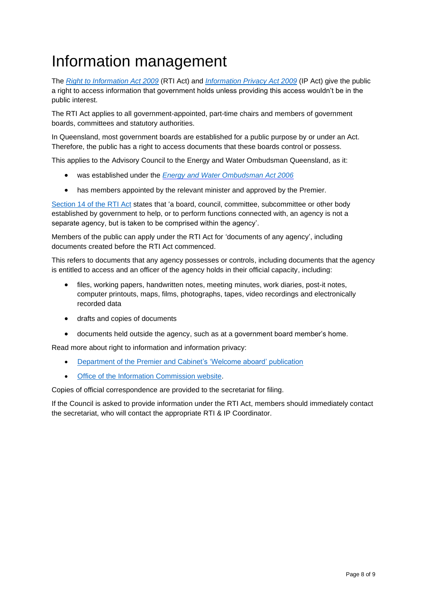## <span id="page-7-0"></span>Information management

The *[Right to Information Act 2009](https://www.legislation.qld.gov.au/view/html/inforce/current/act-2009-013)* (RTI Act) and *[Information Privacy Act 2009](https://www.legislation.qld.gov.au/view/html/inforce/current/act-2009-014)* (IP Act) give the public a right to access information that government holds unless providing this access wouldn't be in the public interest.

The RTI Act applies to all government-appointed, part-time chairs and members of government boards, committees and statutory authorities.

In Queensland, most government boards are established for a public purpose by or under an Act. Therefore, the public has a right to access documents that these boards control or possess.

This applies to the Advisory Council to the Energy and Water Ombudsman Queensland, as it:

- was established under the *[Energy and Water Ombudsman Act 2006](https://www.legislation.qld.gov.au/view/html/inforce/current/act-2006-061)*
- has members appointed by the relevant minister and approved by the Premier.

[Section 14 of the](https://www.legislation.qld.gov.au/view/html/inforce/current/act-2009-013#sec.14) RTI Act states that 'a board, council, committee, subcommittee or other body established by government to help, or to perform functions connected with, an agency is not a separate agency, but is taken to be comprised within the agency'.

Members of the public can apply under the RTI Act for 'documents of any agency', including documents created before the RTI Act commenced.

This refers to documents that any agency possesses or controls, including documents that the agency is entitled to access and an officer of the agency holds in their official capacity, including:

- files, working papers, handwritten notes, meeting minutes, work diaries, post-it notes, computer printouts, maps, films, photographs, tapes, video recordings and electronically recorded data
- drafts and copies of documents
- documents held outside the agency, such as at a government board member's home.

Read more about right to information and information privacy:

- [Department of the Premier and Cabinet's 'Welcome aboard' publication](https://www.premiers.qld.gov.au/publications/categories/policies-and-codes/handbooks/welcome-aboard.aspx)
- [Office of the Information Commission website.](http://www.oic.qld.gov.au/)

Copies of official correspondence are provided to the secretariat for filing.

If the Council is asked to provide information under the RTI Act, members should immediately contact the secretariat, who will contact the appropriate RTI & IP Coordinator.